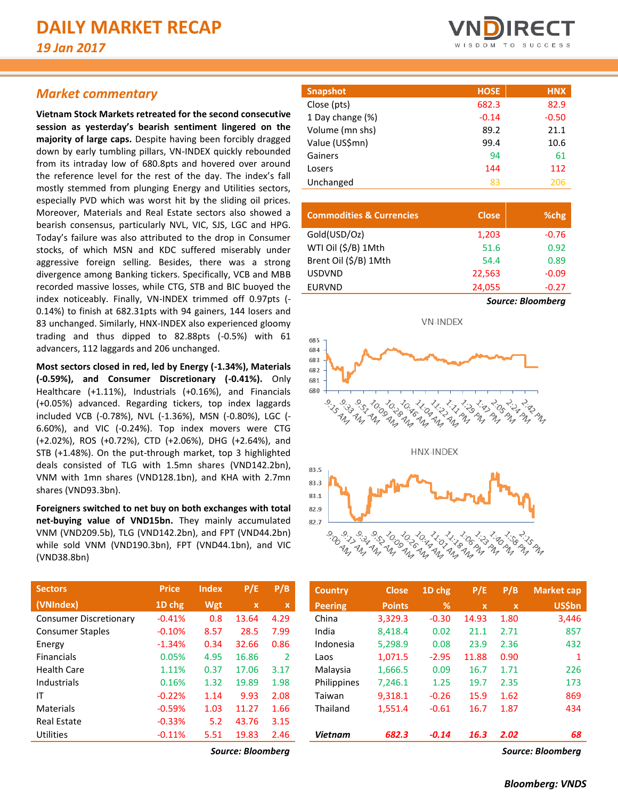# *Market commentary*

**Vietnam Stock Markets retreated for the second consecutive session as yesterday's bearish sentiment lingered on the majority of large caps.** Despite having been forcibly dragged down by early tumbling pillars, VN-INDEX quickly rebounded from its intraday low of 680.8pts and hovered over around the reference level for the rest of the day. The index's fall mostly stemmed from plunging Energy and Utilities sectors, especially PVD which was worst hit by the sliding oil prices. Moreover, Materials and Real Estate sectors also showed a bearish consensus, particularly NVL, VIC, SJS, LGC and HPG. Today's failure was also attributed to the drop in Consumer stocks, of which MSN and KDC suffered miserably under aggressive foreign selling. Besides, there was a strong divergence among Banking tickers. Specifically, VCB and MBB recorded massive losses, while CTG, STB and BIC buoyed the index noticeably. Finally, VN-INDEX trimmed off 0.97pts (- 0.14%) to finish at 682.31pts with 94 gainers, 144 losers and 83 unchanged. Similarly, HNX-INDEX also experienced gloomy trading and thus dipped to 82.88pts (-0.5%) with 61 advancers, 112 laggards and 206 unchanged.

**Most sectors closed in red, led by Energy (-1.34%), Materials (-0.59%), and Consumer Discretionary (-0.41%).** Only Healthcare (+1.11%), Industrials (+0.16%), and Financials (+0.05%) advanced. Regarding tickers, top index laggards included VCB (-0.78%), NVL (-1.36%), MSN (-0.80%), LGC (- 6.60%), and VIC (-0.24%). Top index movers were CTG (+2.02%), ROS (+0.72%), CTD (+2.06%), DHG (+2.64%), and STB (+1.48%). On the put-through market, top 3 highlighted deals consisted of TLG with 1.5mn shares (VND142.2bn), VNM with 1mn shares (VND128.1bn), and KHA with 2.7mn shares (VND93.3bn).

**Foreigners switched to net buy on both exchanges with total net-buying value of VND15bn.** They mainly accumulated VNM (VND209.5b), TLG (VND142.2bn), and FPT (VND44.2bn) while sold VNM (VND190.3bn), FPT (VND44.1bn), and VIC (VND38.8bn)

| <b>Sectors</b>                | <b>Price</b> | <b>Index</b> | P/E         | P/B           |
|-------------------------------|--------------|--------------|-------------|---------------|
| (VNIndex)                     | 1D chg       | Wgt          | $\mathbf x$ | $\mathbf x$   |
| <b>Consumer Discretionary</b> | $-0.41%$     | 0.8          | 13.64       | 4.29          |
| <b>Consumer Staples</b>       | $-0.10%$     | 8.57         | 28.5        | 7.99          |
| Energy                        | $-1.34%$     | 0.34         | 32.66       | 0.86          |
| <b>Financials</b>             | 0.05%        | 4.95         | 16.86       | $\mathcal{P}$ |
| <b>Health Care</b>            | 1.11%        | 0.37         | 17.06       | 3.17          |
| Industrials                   | 0.16%        | 1.32         | 19.89       | 1.98          |
| ΙT                            | $-0.22%$     | 1.14         | 9.93        | 2.08          |
| Materials                     | $-0.59%$     | 1.03         | 11.27       | 1.66          |
| <b>Real Estate</b>            | $-0.33%$     | 5.2          | 43.76       | 3.15          |
| Utilities                     | $-0.11%$     | 5.51         | 19.83       | 2.46          |



| <b>HOSE</b> | <b>HNX</b> |
|-------------|------------|
| 682.3       | 82.9       |
| $-0.14$     | $-0.50$    |
| 89.2        | 21.1       |
| 99.4        | 10.6       |
| 94          | 61         |
| 144         | 112        |
| 83          | 206        |
|             |            |

| <b>Commodities &amp; Currencies</b> | <b>Close</b> |     | %chg         |
|-------------------------------------|--------------|-----|--------------|
| Gold(USD/Oz)                        | 1,203        |     | $-0.76$      |
| WTI Oil (\$/B) 1Mth                 | 51.6         |     | 0.92         |
| Brent Oil (\$/B) 1Mth               | 54.4         |     | 0.89         |
| <b>USDVND</b>                       | 22,563       |     | $-0.09$      |
| <b>EURVND</b>                       | 24,055       |     | $-0.27$      |
|                                     | $\sim$       | - - | $\mathbf{r}$ |





| <b>Sectors</b>                | <b>Price</b> | <b>Index</b> | P/E               | P/B  | <b>Country</b> | <b>Close</b>  | $1D$ chg | P/E          | P/B          | <b>Market cap</b> |
|-------------------------------|--------------|--------------|-------------------|------|----------------|---------------|----------|--------------|--------------|-------------------|
| (VNIndex)                     | 1D chg       | Wgt          | $\mathbf{x}$      | x    | <b>Peering</b> | <b>Points</b> | %        | $\mathbf{x}$ | $\mathbf{x}$ | <b>US\$bn</b>     |
| <b>Consumer Discretionary</b> | $-0.41%$     | 0.8          | 13.64             | 4.29 | China          | 3,329.3       | $-0.30$  | 14.93        | 1.80         | 3,446             |
| <b>Consumer Staples</b>       | $-0.10%$     | 8.57         | 28.5              | 7.99 | India          | 8,418.4       | 0.02     | 21.1         | 2.71         | 857               |
| Energy                        | $-1.34%$     | 0.34         | 32.66             | 0.86 | Indonesia      | 5,298.9       | 0.08     | 23.9         | 2.36         | 432               |
| <b>Financials</b>             | 0.05%        | 4.95         | 16.86             | 2    | Laos           | 1,071.5       | $-2.95$  | 11.88        | 0.90         |                   |
| Health Care                   | 1.11%        | 0.37         | 17.06             | 3.17 | Malaysia       | 1,666.5       | 0.09     | 16.7         | 1.71         | 226               |
| Industrials                   | 0.16%        | 1.32         | 19.89             | 1.98 | Philippines    | 7,246.1       | 1.25     | 19.7         | 2.35         | 173               |
| ΙT                            | $-0.22%$     | 1.14         | 9.93              | 2.08 | Taiwan         | 9,318.1       | $-0.26$  | 15.9         | 1.62         | 869               |
| <b>Materials</b>              | $-0.59%$     | 1.03         | 11.27             | 1.66 | Thailand       | 1,551.4       | $-0.61$  | 16.7         | 1.87         | 434               |
| <b>Real Estate</b>            | $-0.33%$     | 5.2          | 43.76             | 3.15 |                |               |          |              |              |                   |
| Utilities                     | $-0.11%$     | 5.51         | 19.83             | 2.46 | <b>Vietnam</b> | 682.3         | $-0.14$  | 16.3         | 2.02         | 68                |
|                               |              |              | Source: Bloombera |      |                |               |          |              |              | Source: Bloombera |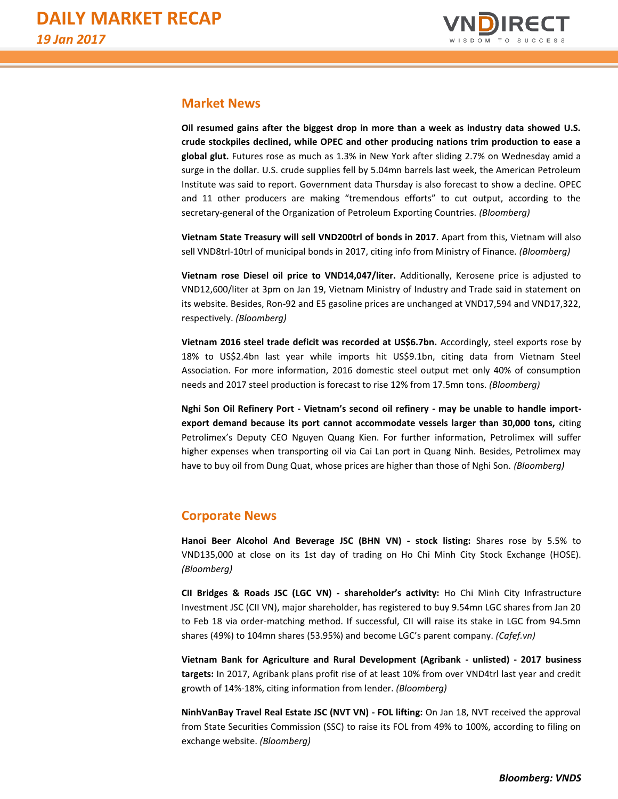

# **Market News**

**Oil resumed gains after the biggest drop in more than a week as industry data showed U.S. crude stockpiles declined, while OPEC and other producing nations trim production to ease a global glut.** Futures rose as much as 1.3% in New York after sliding 2.7% on Wednesday amid a surge in the dollar. U.S. crude supplies fell by 5.04mn barrels last week, the American Petroleum Institute was said to report. Government data Thursday is also forecast to show a decline. OPEC and 11 other producers are making "tremendous efforts" to cut output, according to the secretary-general of the Organization of Petroleum Exporting Countries. *(Bloomberg)*

**Vietnam State Treasury will sell VND200trl of bonds in 2017**. Apart from this, Vietnam will also sell VND8trl-10trl of municipal bonds in 2017, citing info from Ministry of Finance. *(Bloomberg)*

**Vietnam rose Diesel oil price to VND14,047/liter.** Additionally, Kerosene price is adjusted to VND12,600/liter at 3pm on Jan 19, Vietnam Ministry of Industry and Trade said in statement on its website. Besides, Ron-92 and E5 gasoline prices are unchanged at VND17,594 and VND17,322, respectively. *(Bloomberg)*

**Vietnam 2016 steel trade deficit was recorded at US\$6.7bn.** Accordingly, steel exports rose by 18% to US\$2.4bn last year while imports hit US\$9.1bn, citing data from Vietnam Steel Association. For more information, 2016 domestic steel output met only 40% of consumption needs and 2017 steel production is forecast to rise 12% from 17.5mn tons. *(Bloomberg)*

**Nghi Son Oil Refinery Port - Vietnam's second oil refinery - may be unable to handle importexport demand because its port cannot accommodate vessels larger than 30,000 tons,** citing Petrolimex's Deputy CEO Nguyen Quang Kien. For further information, Petrolimex will suffer higher expenses when transporting oil via Cai Lan port in Quang Ninh. Besides, Petrolimex may have to buy oil from Dung Quat, whose prices are higher than those of Nghi Son. *(Bloomberg)*

# **Corporate News**

**Hanoi Beer Alcohol And Beverage JSC (BHN VN) - stock listing:** Shares rose by 5.5% to VND135,000 at close on its 1st day of trading on Ho Chi Minh City Stock Exchange (HOSE). *(Bloomberg)*

**CII Bridges & Roads JSC (LGC VN) - shareholder's activity:** Ho Chi Minh City Infrastructure Investment JSC (CII VN), major shareholder, has registered to buy 9.54mn LGC shares from Jan 20 to Feb 18 via order-matching method. If successful, CII will raise its stake in LGC from 94.5mn shares (49%) to 104mn shares (53.95%) and become LGC's parent company. *(Cafef.vn)*

**Vietnam Bank for Agriculture and Rural Development (Agribank - unlisted) - 2017 business targets:** In 2017, Agribank plans profit rise of at least 10% from over VND4trl last year and credit growth of 14%-18%, citing information from lender. *(Bloomberg)*

**NinhVanBay Travel Real Estate JSC (NVT VN) - FOL lifting:** On Jan 18, NVT received the approval from State Securities Commission (SSC) to raise its FOL from 49% to 100%, according to filing on exchange website. *(Bloomberg)*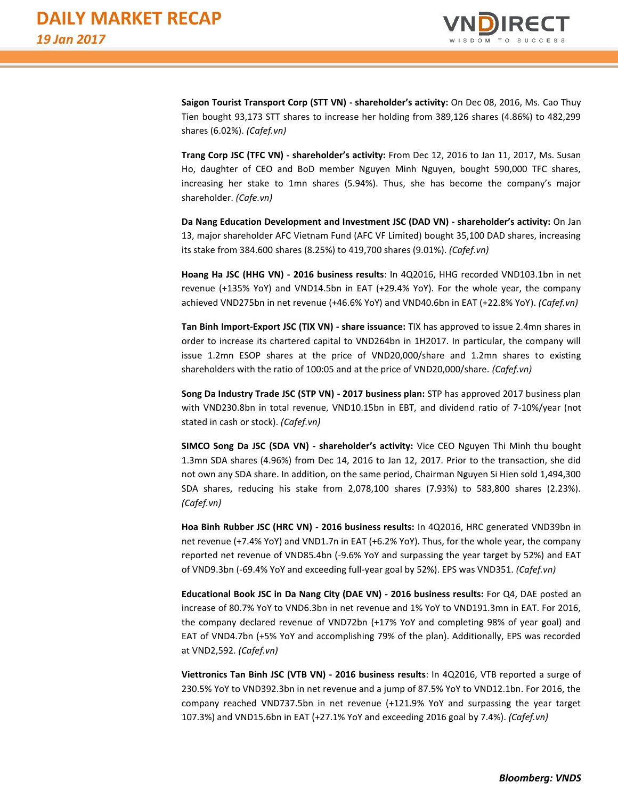

**Saigon Tourist Transport Corp (STT VN) - shareholder's activity:** On Dec 08, 2016, Ms. Cao Thuy Tien bought 93,173 STT shares to increase her holding from 389,126 shares (4.86%) to 482,299 shares (6.02%). *(Cafef.vn)*

**Trang Corp JSC (TFC VN) - shareholder's activity:** From Dec 12, 2016 to Jan 11, 2017, Ms. Susan Ho, daughter of CEO and BoD member Nguyen Minh Nguyen, bought 590,000 TFC shares, increasing her stake to 1mn shares (5.94%). Thus, she has become the company's major shareholder. *(Cafe.vn)*

**Da Nang Education Development and Investment JSC (DAD VN) - shareholder's activity:** On Jan 13, major shareholder AFC Vietnam Fund (AFC VF Limited) bought 35,100 DAD shares, increasing its stake from 384.600 shares (8.25%) to 419,700 shares (9.01%). *(Cafef.vn)*

**Hoang Ha JSC (HHG VN) - 2016 business results**: In 4Q2016, HHG recorded VND103.1bn in net revenue (+135% YoY) and VND14.5bn in EAT (+29.4% YoY). For the whole year, the company achieved VND275bn in net revenue (+46.6% YoY) and VND40.6bn in EAT (+22.8% YoY). *(Cafef.vn)*

**Tan Binh Import-Export JSC (TIX VN) - share issuance:** TIX has approved to issue 2.4mn shares in order to increase its chartered capital to VND264bn in 1H2017. In particular, the company will issue 1.2mn ESOP shares at the price of VND20,000/share and 1.2mn shares to existing shareholders with the ratio of 100:05 and at the price of VND20,000/share. *(Cafef.vn)*

**Song Da Industry Trade JSC (STP VN) - 2017 business plan:** STP has approved 2017 business plan with VND230.8bn in total revenue, VND10.15bn in EBT, and dividend ratio of 7-10%/year (not stated in cash or stock). *(Cafef.vn)*

**SIMCO Song Da JSC (SDA VN) - shareholder's activity:** Vice CEO Nguyen Thi Minh thu bought 1.3mn SDA shares (4.96%) from Dec 14, 2016 to Jan 12, 2017. Prior to the transaction, she did not own any SDA share. In addition, on the same period, Chairman Nguyen Si Hien sold 1,494,300 SDA shares, reducing his stake from 2,078,100 shares (7.93%) to 583,800 shares (2.23%). *(Cafef.vn)*

**Hoa Binh Rubber JSC (HRC VN) - 2016 business results:** In 4Q2016, HRC generated VND39bn in net revenue (+7.4% YoY) and VND1.7n in EAT (+6.2% YoY). Thus, for the whole year, the company reported net revenue of VND85.4bn (-9.6% YoY and surpassing the year target by 52%) and EAT of VND9.3bn (-69.4% YoY and exceeding full-year goal by 52%). EPS was VND351. *(Cafef.vn)*

**Educational Book JSC in Da Nang City (DAE VN) - 2016 business results:** For Q4, DAE posted an increase of 80.7% YoY to VND6.3bn in net revenue and 1% YoY to VND191.3mn in EAT. For 2016, the company declared revenue of VND72bn (+17% YoY and completing 98% of year goal) and EAT of VND4.7bn (+5% YoY and accomplishing 79% of the plan). Additionally, EPS was recorded at VND2,592. *(Cafef.vn)*

**Viettronics Tan Binh JSC (VTB VN) - 2016 business results**: In 4Q2016, VTB reported a surge of 230.5% YoY to VND392.3bn in net revenue and a jump of 87.5% YoY to VND12.1bn. For 2016, the company reached VND737.5bn in net revenue (+121.9% YoY and surpassing the year target 107.3%) and VND15.6bn in EAT (+27.1% YoY and exceeding 2016 goal by 7.4%). *(Cafef.vn)*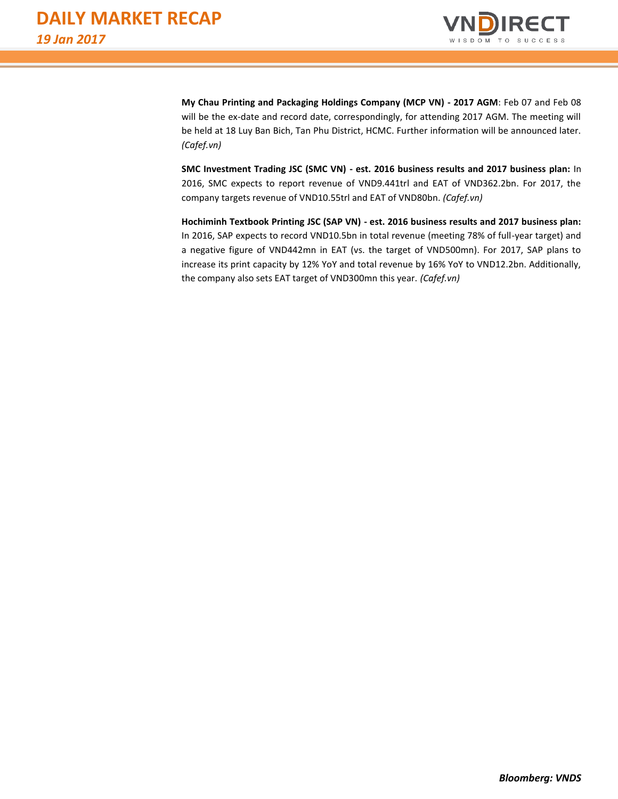

**My Chau Printing and Packaging Holdings Company (MCP VN) - 2017 AGM**: Feb 07 and Feb 08 will be the ex-date and record date, correspondingly, for attending 2017 AGM. The meeting will be held at 18 Luy Ban Bich, Tan Phu District, HCMC. Further information will be announced later. *(Cafef.vn)*

**SMC Investment Trading JSC (SMC VN) - est. 2016 business results and 2017 business plan:** In 2016, SMC expects to report revenue of VND9.441trl and EAT of VND362.2bn. For 2017, the company targets revenue of VND10.55trl and EAT of VND80bn. *(Cafef.vn)*

**Hochiminh Textbook Printing JSC (SAP VN) - est. 2016 business results and 2017 business plan:** In 2016, SAP expects to record VND10.5bn in total revenue (meeting 78% of full-year target) and a negative figure of VND442mn in EAT (vs. the target of VND500mn). For 2017, SAP plans to increase its print capacity by 12% YoY and total revenue by 16% YoY to VND12.2bn. Additionally, the company also sets EAT target of VND300mn this year. *(Cafef.vn)*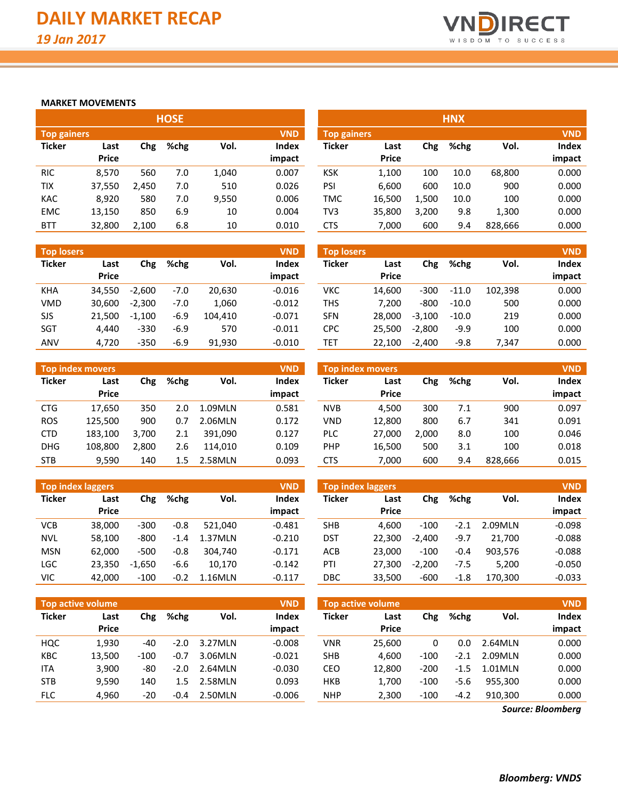

# **MARKET MOVEMENTS**

| <b>HOSE</b>   |              |       |      |       |              |               |              |       | <b>HNX</b> |         |            |
|---------------|--------------|-------|------|-------|--------------|---------------|--------------|-------|------------|---------|------------|
| Top gainers   |              |       |      |       | <b>VND</b>   | Top gainers   |              |       |            |         | <b>VND</b> |
| <b>Ticker</b> | Last         | Chg   | %chg | Vol.  | <b>Index</b> | <b>Ticker</b> | Last         | Chg   | %chg       | Vol.    | Index      |
|               | <b>Price</b> |       |      |       | impact       |               | <b>Price</b> |       |            |         | impact     |
| <b>RIC</b>    | 8,570        | 560   | 7.0  | 1,040 | 0.007        | <b>KSK</b>    | 1.100        | 100   | 10.0       | 68,800  | 0.000      |
| TIX           | 37,550       | 2,450 | 7.0  | 510   | 0.026        | PSI           | 6.600        | 600   | 10.0       | 900     | 0.000      |
| <b>KAC</b>    | 8,920        | 580   | 7.0  | 9,550 | 0.006        | <b>TMC</b>    | 16,500       | 1,500 | 10.0       | 100     | 0.000      |
| <b>EMC</b>    | 13,150       | 850   | 6.9  | 10    | 0.004        | TV3           | 35,800       | 3,200 | 9.8        | 1,300   | 0.000      |
| <b>BTT</b>    | 32,800       | 2,100 | 6.8  | 10    | 0.010        | <b>CTS</b>    | 7.000        | 600   | 9.4        | 828.666 | 0.000      |

| <b>Top losers</b> |                      |          |        |         | <b>VND</b>             |
|-------------------|----------------------|----------|--------|---------|------------------------|
| <b>Ticker</b>     | Last<br><b>Price</b> | Chg      | %chg   | Vol.    | <b>Index</b><br>impact |
| KHA               | 34,550               | $-2.600$ | $-7.0$ | 20,630  | $-0.016$               |
| <b>VMD</b>        | 30,600               | $-2.300$ | $-7.0$ | 1,060   | $-0.012$               |
| SJS               | 21,500               | $-1,100$ | $-6.9$ | 104,410 | $-0.071$               |
| <b>SGT</b>        | 4.440                | $-330$   | $-6.9$ | 570     | $-0.011$               |
| ANV               | 4,720                | $-350$   | $-6.9$ | 91.930  | $-0.010$               |

| <b>VND</b><br><b>Top index movers</b> |              |       |         |         |        |  |  |  |  |  |  |  |
|---------------------------------------|--------------|-------|---------|---------|--------|--|--|--|--|--|--|--|
| <b>Ticker</b>                         | Last         | Chg   | %chg    | Vol.    | Index  |  |  |  |  |  |  |  |
|                                       | <b>Price</b> |       |         |         | impact |  |  |  |  |  |  |  |
| <b>CTG</b>                            | 17,650       | 350   | 2.0     | 1.09MLN | 0.581  |  |  |  |  |  |  |  |
| <b>ROS</b>                            | 125,500      | 900   | 0.7     | 2.06MLN | 0.172  |  |  |  |  |  |  |  |
| CTD                                   | 183,100      | 3,700 | 2.1     | 391,090 | 0.127  |  |  |  |  |  |  |  |
| <b>DHG</b>                            | 108,800      | 2,800 | 2.6     | 114,010 | 0.109  |  |  |  |  |  |  |  |
| <b>STB</b>                            | 9,590        | 140   | $1.5\,$ | 2.58MLN | 0.093  |  |  |  |  |  |  |  |

|               | <b>Top index laggers</b><br><b>VND</b> |          |        |         |          |  |  |  |  |  |  |  |  |  |
|---------------|----------------------------------------|----------|--------|---------|----------|--|--|--|--|--|--|--|--|--|
| <b>Ticker</b> | Last                                   | Chg      | %chg   | Vol.    | Index    |  |  |  |  |  |  |  |  |  |
|               | Price                                  |          |        |         | impact   |  |  |  |  |  |  |  |  |  |
| VCB           | 38,000                                 | $-300$   | $-0.8$ | 521.040 | $-0.481$ |  |  |  |  |  |  |  |  |  |
| NVL           | 58,100                                 | -800     | $-1.4$ | 1.37MLN | $-0.210$ |  |  |  |  |  |  |  |  |  |
| <b>MSN</b>    | 62,000                                 | $-500$   | $-0.8$ | 304,740 | $-0.171$ |  |  |  |  |  |  |  |  |  |
| LGC           | 23,350                                 | $-1,650$ | $-6.6$ | 10,170  | $-0.142$ |  |  |  |  |  |  |  |  |  |
| VIC           | 42,000                                 | $-100$   | $-0.2$ | 1.16MLN | $-0.117$ |  |  |  |  |  |  |  |  |  |

|                    |              |       | u.   |       |              |               |              |       |      |         |            |
|--------------------|--------------|-------|------|-------|--------------|---------------|--------------|-------|------|---------|------------|
| <b>Top gainers</b> |              |       |      |       | <b>VND</b>   | Top gainers   |              |       |      |         | <b>VND</b> |
| Ticker             | Last         | Chg   | %chg | Vol.  | <b>Index</b> | <b>Ticker</b> | Last         | Chg   | %chg | Vol.    | Index      |
|                    | <b>Price</b> |       |      |       | impact       |               | <b>Price</b> |       |      |         | impact     |
| <b>RIC</b>         | 8.570        | 560   | 7.0  | 1,040 | 0.007        | KSK           | 1,100        | 100   | 10.0 | 68,800  | 0.000      |
| TIX                | 37,550       | 2,450 | 7.0  | 510   | 0.026        | PSI           | 6.600        | 600   | 10.0 | 900     | 0.000      |
| KAC                | 8,920        | 580   | 7.0  | 9,550 | 0.006        | TMC           | 16,500       | 1.500 | 10.0 | 100     | 0.000      |
| <b>EMC</b>         | 13,150       | 850   | 6.9  | 10    | 0.004        | TV3           | 35,800       | 3,200 | 9.8  | 1,300   | 0.000      |
| <b>BTT</b>         | 32,800       | 2,100 | 6.8  | 10    | 0.010        | CTS           | 7,000        | 600   | 9.4  | 828,666 | 0.000      |

| <b>Top losers</b> |                      |          |        |         | <b>VND</b>             | <b>Top losers</b> |                      |          |         |         | <b>VND</b>      |
|-------------------|----------------------|----------|--------|---------|------------------------|-------------------|----------------------|----------|---------|---------|-----------------|
| Ticker            | Last<br><b>Price</b> | Chg      | %chg   | Vol.    | <b>Index</b><br>impact | Ticker            | Last<br><b>Price</b> | Chg      | %chg    | Vol.    | Index<br>impact |
| KHA               | 34.550               | $-2.600$ | $-7.0$ | 20.630  | $-0.016$               | VKC               | 14.600               | $-300$   | $-11.0$ | 102.398 | 0.000           |
|                   |                      |          |        |         |                        |                   |                      |          |         |         |                 |
| VMD               | 30.600               | $-2.300$ | $-7.0$ | 1,060   | $-0.012$               | THS               | 7.200                | $-800$   | $-10.0$ | 500     | 0.000           |
| SJS               | 21.500               | $-1.100$ | $-6.9$ | 104.410 | $-0.071$               | <b>SFN</b>        | 28.000               | $-3.100$ | $-10.0$ | 219     | 0.000           |
| SGT               | 4.440                | $-330$   | $-6.9$ | 570     | $-0.011$               | CPC               | 25.500               | $-2.800$ | $-9.9$  | 100     | 0.000           |
| ANV               | 4.720                | $-350$   | $-6.9$ | 91,930  | $-0.010$               | TET               | 22,100               | $-2.400$ | $-9.8$  | 7.347   | 0.000           |

|            | <b>Top index movers</b> |       |      |         | <b>VND</b>   |            | <b>Top index movers</b> |       |      |         | <b>VND</b>   |
|------------|-------------------------|-------|------|---------|--------------|------------|-------------------------|-------|------|---------|--------------|
| Ticker     | Last                    | Chg   | %chg | Vol.    | <b>Index</b> | Ticker     | Last                    | Chg   | %chg | Vol.    | <b>Index</b> |
|            | <b>Price</b>            |       |      |         | impact       |            | <b>Price</b>            |       |      |         | impact       |
| CTG.       | 17.650                  | 350   | 2.0  | 1.09MLN | 0.581        | <b>NVB</b> | 4.500                   | 300   | 7.1  | 900     | 0.097        |
| <b>ROS</b> | 125,500                 | 900   | 0.7  | 2.06MLN | 0.172        | <b>VND</b> | 12.800                  | 800   | 6.7  | 341     | 0.091        |
| CTD        | 183.100                 | 3.700 | 2.1  | 391.090 | 0.127        | PLC        | 27,000                  | 2,000 | 8.0  | 100     | 0.046        |
| <b>DHG</b> | 108,800                 | 2.800 | 2.6  | 114.010 | 0.109        | <b>PHP</b> | 16.500                  | 500   | 3.1  | 100     | 0.018        |
| <b>STB</b> | 9,590                   | 140   | 1.5  | 2.58MLN | 0.093        | <b>CTS</b> | 7,000                   | 600   | 9.4  | 828,666 | 0.015        |

| <b>Top index laggers</b> |              |          |        |         | <b>VND</b>   |            | Top index laggers |          |        |         | <b>VND</b> |
|--------------------------|--------------|----------|--------|---------|--------------|------------|-------------------|----------|--------|---------|------------|
| Ticker                   | Last         | Chg      | %chg   | Vol.    | <b>Index</b> | Ticker     | Last              | Chg      | %chg   | Vol.    | Index      |
|                          | <b>Price</b> |          |        |         | impact       |            | <b>Price</b>      |          |        |         | impact     |
| VCB                      | 38.000       | $-300$   | $-0.8$ | 521.040 | $-0.481$     | <b>SHB</b> | 4.600             | $-100$   | $-2.1$ | 2.09MLN | $-0.098$   |
| <b>NVL</b>               | 58,100       | $-800$   | $-1.4$ | 1.37MLN | $-0.210$     | DST        | 22.300            | $-2.400$ | $-9.7$ | 21.700  | $-0.088$   |
| <b>MSN</b>               | 62.000       | $-500$   | $-0.8$ | 304.740 | $-0.171$     | ACB        | 23,000            | $-100$   | $-0.4$ | 903.576 | $-0.088$   |
| LGC                      | 23,350       | $-1.650$ | $-6.6$ | 10.170  | $-0.142$     | PTI        | 27.300            | $-2.200$ | $-7.5$ | 5.200   | $-0.050$   |
| VIC                      | 42.000       | $-100$   | $-0.2$ | 1.16MLN | $-0.117$     | DBC        | 33,500            | $-600$   | $-1.8$ | 170,300 | $-0.033$   |

| <b>Top active volume</b> |                      |        |        |               | <b>VND</b>             | <b>Top active volume</b> |                      |        |        |         |                 |  |
|--------------------------|----------------------|--------|--------|---------------|------------------------|--------------------------|----------------------|--------|--------|---------|-----------------|--|
| <b>Ticker</b>            | Last<br><b>Price</b> | Chg    | %chg   | Vol.          | <b>Index</b><br>impact | <b>Ticker</b>            | Last<br><b>Price</b> | Chg    | %chg   | Vol.    | Index<br>impact |  |
| HQC                      | 1.930                | -40    | $-2.0$ | 3.27MLN       | $-0.008$               | <b>VNR</b>               | 25.600               | 0      | 0.0    | 2.64MLN | 0.000           |  |
| <b>KBC</b>               | 13.500               | $-100$ | $-0.7$ | 3.06MLN       | $-0.021$               | <b>SHB</b>               | 4.600                | $-100$ | $-2.1$ | 2.09MLN | 0.000           |  |
| <b>ITA</b>               | 3.900                | -80    | $-2.0$ | 2.64MLN       | $-0.030$               | CEO                      | 12.800               | $-200$ | $-1.5$ | 1.01MLN | 0.000           |  |
| <b>STB</b>               | 9.590                | 140    | 1.5    | <b>.58MLN</b> | 0.093                  | <b>HKB</b>               | 1.700                | $-100$ | -5.6   | 955.300 | 0.000           |  |
| <b>FLC</b>               | 4,960                | -20    | $-0.4$ | 2.50MLN       | $-0.006$               | <b>NHP</b>               | 2,300                | $-100$ | $-4.2$ | 910.300 | 0.000           |  |

*Source: Bloomberg*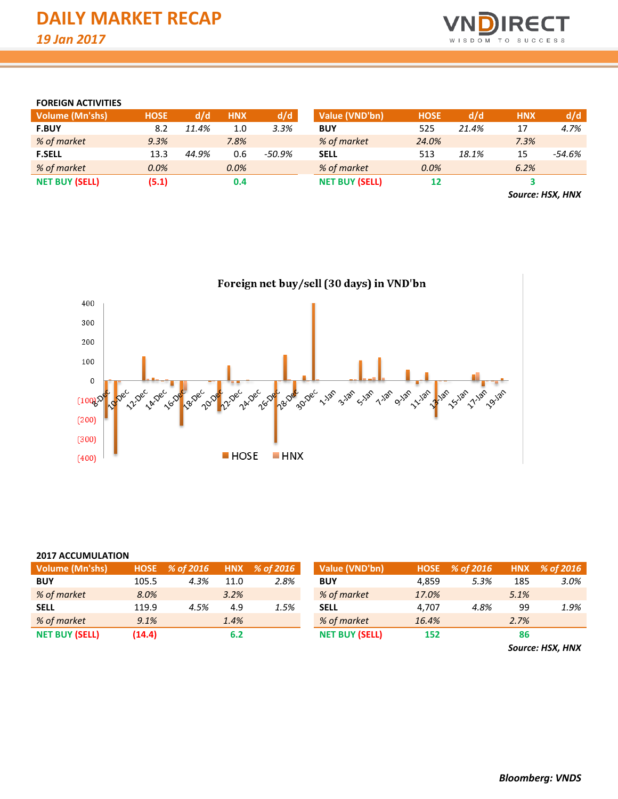

# **FOREIGN ACTIVITIES**

| <b>Volume (Mn'shs)</b> | <b>HOSE</b> | d/d   | <b>HNX</b> | d/d       | Value (VND'bn)        | <b>HOSE</b> | d/d   | <b>HNX</b>       | d/d    |
|------------------------|-------------|-------|------------|-----------|-----------------------|-------------|-------|------------------|--------|
| <b>F.BUY</b>           | 8.2         | 11.4% | 1.0        | 3.3%      | <b>BUY</b>            | 525         | 21.4% | 17               | 4.7%   |
| % of market            | 9.3%        |       | 7.8%       |           | % of market           | 24.0%       |       | 7.3%             |        |
| <b>F.SELL</b>          | 13.3        | 44.9% | 0.6        | $-50.9\%$ | <b>SELL</b>           | 513         | 18.1% | 15               | -54.6% |
| % of market            | 0.0%        |       | 0.0%       |           | % of market           | $0.0\%$     |       | 6.2%             |        |
| <b>NET BUY (SELL)</b>  | (5.1)       |       | 0.4        |           | <b>NET BUY (SELL)</b> | 12          |       |                  |        |
|                        |             |       |            |           |                       |             |       | Source: HSX, HNX |        |

Foreign net buy/sell (30 days) in VND'bn 400 300 200 100  $\pmb{0}$ sanger 24-Dec L. Jan RIVEC **A** Dec **1.18h Repec** Record 3-187 **S-Jan Toylor** Rec Dec **9.1ah 11/18h 15-18h 11.1ah** 2010 ್ಸೆಂಗ್  $(100)$  $(200)$  $(300)$ **HOSE**  $HNX$  $(400)$ 

| <b>2017 ACCUMULATION</b> |                                           |      |                |      |                       |            |           |      |      |  |  |  |  |  |
|--------------------------|-------------------------------------------|------|----------------|------|-----------------------|------------|-----------|------|------|--|--|--|--|--|
| <b>Volume (Mn'shs)</b>   | % of 2016<br>HOSE % of 2016<br><b>HNX</b> |      | Value (VND'bn) |      | HOSE % of 2016        | <b>HNX</b> | % of 2016 |      |      |  |  |  |  |  |
| <b>BUY</b>               | 105.5                                     | 4.3% | 11.0           | 2.8% | <b>BUY</b>            | 4.859      | 5.3%      | 185  | 3.0% |  |  |  |  |  |
| % of market              | 8.0%                                      |      | 3.2%           |      | % of market           | 17.0%      |           | 5.1% |      |  |  |  |  |  |
| <b>SELL</b>              | 119.9                                     | 4.5% | 4.9            | 1.5% | <b>SELL</b>           | 4.707      | 4.8%      | 99   | 1.9% |  |  |  |  |  |
| % of market              | 9.1%                                      |      | 1.4%           |      | % of market           | 16.4%      |           | 2.7% |      |  |  |  |  |  |
| <b>NET BUY (SELL)</b>    | (14.4)                                    |      | 6.2            |      | <b>NET BUY (SELL)</b> | 152        |           | 86   |      |  |  |  |  |  |

*Source: HSX, HNX*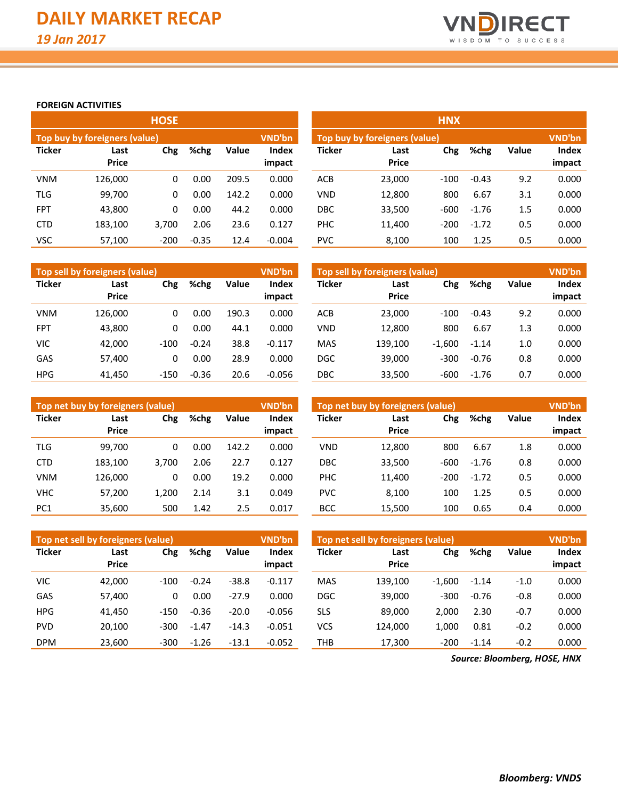

**Index impact**

# **FOREIGN ACTIVITIES**

|               |                               | <b>HOSE</b> |         |       |                                                | <b>HNX</b>    |                      |        |         |       |                 |  |
|---------------|-------------------------------|-------------|---------|-------|------------------------------------------------|---------------|----------------------|--------|---------|-------|-----------------|--|
|               | Top buy by foreigners (value) |             |         |       | <b>VND'bn</b><br>Top buy by foreigners (value) |               |                      |        |         |       |                 |  |
| <b>Ticker</b> | Last<br><b>Price</b>          | Chg         | %chg    | Value | <b>Index</b><br>impact                         | <b>Ticker</b> | Last<br><b>Price</b> | Chg    | %chg    | Value | Index<br>impact |  |
| <b>VNM</b>    | 126,000                       | 0           | 0.00    | 209.5 | 0.000                                          | ACB           | 23,000               | $-100$ | $-0.43$ | 9.2   | 0.000           |  |
| <b>TLG</b>    | 99,700                        | 0           | 0.00    | 142.2 | 0.000                                          | <b>VND</b>    | 12,800               | 800    | 6.67    | 3.1   | 0.000           |  |
| <b>FPT</b>    | 43,800                        | 0           | 0.00    | 44.2  | 0.000                                          | <b>DBC</b>    | 33,500               | $-600$ | $-1.76$ | 1.5   | 0.000           |  |
| <b>CTD</b>    | 183,100                       | 3.700       | 2.06    | 23.6  | 0.127                                          | PHC           | 11,400               | $-200$ | $-1.72$ | 0.5   | 0.000           |  |
| VSC           | 57.100                        | $-200$      | $-0.35$ | 12.4  | $-0.004$                                       | <b>PVC</b>    | 8,100                | 100    | 1.25    | 0.5   | 0.000           |  |

|               | Top sell by foreigners (value) |        |               |       | <b>VND'bn</b>          | Top sell by foreigners (value) | <b>VND'bn</b>        |          |         |       |                 |
|---------------|--------------------------------|--------|---------------|-------|------------------------|--------------------------------|----------------------|----------|---------|-------|-----------------|
| <b>Ticker</b> | Last<br><b>Price</b>           | Chg    | %chg<br>Value |       | <b>Index</b><br>impact | <b>Ticker</b>                  | Last<br><b>Price</b> | Chg      | %chg    | Value | Index<br>impact |
| <b>VNM</b>    | 126.000                        | 0      | 0.00          | 190.3 | 0.000                  | ACB                            | 23,000               | $-100$   | $-0.43$ | 9.2   | 0.000           |
| <b>FPT</b>    | 43,800                         | 0      | 0.00          | 44.1  | 0.000                  | <b>VND</b>                     | 12,800               | 800      | 6.67    | 1.3   | 0.000           |
| <b>VIC</b>    | 42.000                         | $-100$ | $-0.24$       | 38.8  | $-0.117$               | <b>MAS</b>                     | 139.100              | $-1,600$ | $-1.14$ | 1.0   | 0.000           |
| GAS           | 57,400                         | 0      | 0.00          | 28.9  | 0.000                  | <b>DGC</b>                     | 39.000               | $-300$   | $-0.76$ | 0.8   | 0.000           |
| <b>HPG</b>    | 41.450                         | $-150$ | $-0.36$       | 20.6  | $-0.056$               | <b>DBC</b>                     | 33,500               | $-600$   | $-1.76$ | 0.7   | 0.000           |

|                 | Top net buy by foreigners (value) |       |      |       | VND'bn          | Top net buy by foreigners (value) | <b>VND'bn</b>               |        |         |       |                 |  |
|-----------------|-----------------------------------|-------|------|-------|-----------------|-----------------------------------|-----------------------------|--------|---------|-------|-----------------|--|
| <b>Ticker</b>   | Last<br><b>Price</b>              | Chg   | %chg | Value | Index<br>impact | <b>Ticker</b>                     | Chg<br>Last<br><b>Price</b> |        | %chg    | Value | Index<br>impact |  |
| TLG             | 99.700                            | 0     | 0.00 | 142.2 | 0.000           | <b>VND</b>                        | 12.800                      | 800    | 6.67    | 1.8   | 0.000           |  |
| <b>CTD</b>      | 183,100                           | 3.700 | 2.06 | 22.7  | 0.127           | <b>DBC</b>                        | 33,500                      | $-600$ | $-1.76$ | 0.8   | 0.000           |  |
| <b>VNM</b>      | 126.000                           | 0     | 0.00 | 19.2  | 0.000           | PHC                               | 11,400                      | $-200$ | $-1.72$ | 0.5   | 0.000           |  |
| <b>VHC</b>      | 57,200                            | 1.200 | 2.14 | 3.1   | 0.049           | <b>PVC</b>                        | 8.100                       | 100    | 1.25    | 0.5   | 0.000           |  |
| PC <sub>1</sub> | 35,600                            | 500   | 1.42 | 2.5   | 0.017           | <b>BCC</b>                        | 15,500                      | 100    | 0.65    | 0.4   | 0.000           |  |

|               | Top net sell by foreigners (value) |        |         |         | <b>VND'bn</b>          | Top net sell by foreigners (value) | VND'bn               |          |         |              |                 |
|---------------|------------------------------------|--------|---------|---------|------------------------|------------------------------------|----------------------|----------|---------|--------------|-----------------|
| <b>Ticker</b> | Last<br><b>Price</b>               | Chg    | %chg    | Value   | <b>Index</b><br>impact | <b>Ticker</b>                      | Last<br><b>Price</b> | Chg      | %chg    | <b>Value</b> | Index<br>impact |
|               |                                    |        |         |         |                        |                                    |                      |          |         |              |                 |
| <b>VIC</b>    | 42.000                             | $-100$ | $-0.24$ | $-38.8$ | $-0.117$               | <b>MAS</b>                         | 139.100              | $-1.600$ | $-1.14$ | $-1.0$       | 0.000           |
| GAS           | 57,400                             | 0      | 0.00    | $-27.9$ | 0.000                  | <b>DGC</b>                         | 39,000               | $-300$   | $-0.76$ | $-0.8$       | 0.000           |
| <b>HPG</b>    | 41.450                             | $-150$ | $-0.36$ | $-20.0$ | $-0.056$               | <b>SLS</b>                         | 89,000               | 2,000    | 2.30    | $-0.7$       | 0.000           |
| <b>PVD</b>    | 20.100                             | $-300$ | $-1.47$ | $-14.3$ | $-0.051$               | VCS                                | 124.000              | 1.000    | 0.81    | $-0.2$       | 0.000           |
| <b>DPM</b>    | 23,600                             | $-300$ | $-1.26$ | $-13.1$ | $-0.052$               | THB                                | 17,300               | $-200$   | $-1.14$ | $-0.2$       | 0.000           |

*Source: Bloomberg, HOSE, HNX*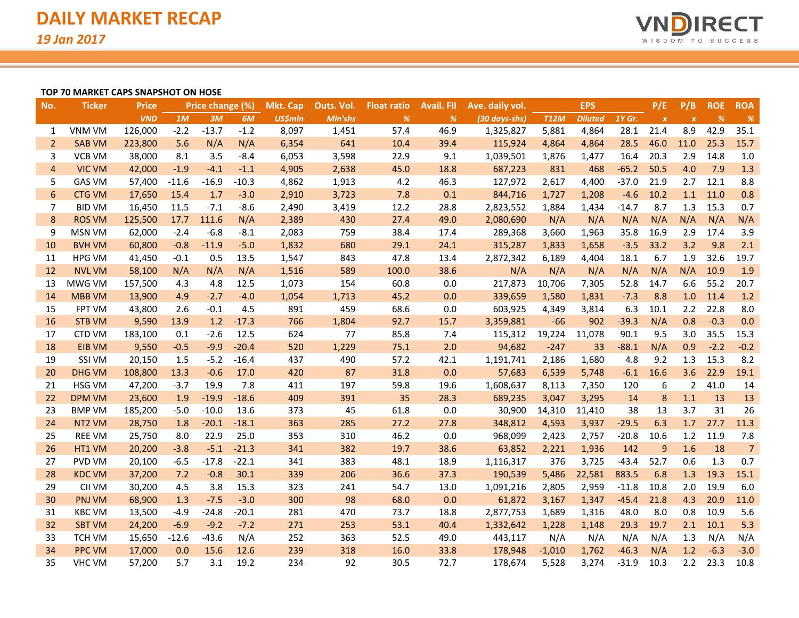

## **TOP 70 MARKET CAPS SNAPSHOT ON HOSE**

| No.            | <b>Ticker</b>      | Price      | Price change (%) |         | <b>Mkt. Cap</b> | Outs. Vol.     | <b>Float ratio</b> | <b>Avail. FII</b> | Ave. daily vol. | <b>EPS</b>    |             |                | P/E     | P/B              | <b>ROE</b>       | <b>ROA</b> |                |
|----------------|--------------------|------------|------------------|---------|-----------------|----------------|--------------------|-------------------|-----------------|---------------|-------------|----------------|---------|------------------|------------------|------------|----------------|
|                |                    | <b>VND</b> | 1M               | 3M      | 6M              | <b>US\$mln</b> | Mln'shs            | %                 | %               | (30 days-shs) | <b>T12M</b> | <b>Diluted</b> | 1Y Gr.  | $\boldsymbol{x}$ | $\boldsymbol{x}$ | %          | $\frac{9}{6}$  |
| 1              | <b>VNM VM</b>      | 126,000    | $-2.2$           | $-13.7$ | $-1.2$          | 8,097          | 1,451              | 57.4              | 46.9            | 1,325,827     | 5,881       | 4,864          | 28.1    | 21.4             | 8.9              | 42.9       | 35.1           |
| 2              | <b>SAB VM</b>      | 223,800    | 5.6              | N/A     | N/A             | 6,354          | 641                | 10.4              | 39.4            | 115,924       | 4,864       | 4,864          | 28.5    | 46.0             | 11.0             | 25.3       | 15.7           |
| 3              | <b>VCB VM</b>      | 38,000     | 8.1              | 3.5     | $-8.4$          | 6,053          | 3,598              | 22.9              | 9.1             | 1,039,501     | 1,876       | 1,477          | 16.4    | 20.3             | 2.9              | 14.8       | 1.0            |
| $\overline{4}$ | <b>VIC VM</b>      | 42,000     | $-1.9$           | $-4.1$  | $-1.1$          | 4,905          | 2,638              | 45.0              | 18.8            | 687,223       | 831         | 468            | $-65.2$ | 50.5             | 4.0              | 7.9        | 1.3            |
| 5              | <b>GAS VM</b>      | 57,400     | $-11.6$          | $-16.9$ | $-10.3$         | 4,862          | 1,913              | 4.2               | 46.3            | 127,972       | 2,617       | 4,400          | $-37.0$ | 21.9             | 2.7              | 12.1       | 8.8            |
| 6              | <b>CTG VM</b>      | 17,650     | 15.4             | 1.7     | $-3.0$          | 2,910          | 3,723              | 7.8               | 0.1             | 844,716       | 1,727       | 1,208          | $-4.6$  | 10.2             | 1.1              | 11.0       | 0.8            |
| 7              | <b>BID VM</b>      | 16,450     | 11.5             | $-7.1$  | $-8.6$          | 2,490          | 3,419              | 12.2              | 28.8            | 2,823,552     | 1,884       | 1,434          | $-14.7$ | 8.7              | 1.3              | 15.3       | 0.7            |
| 8              | <b>ROS VM</b>      | 125,500    | 17.7             | 111.6   | N/A             | 2,389          | 430                | 27.4              | 49.0            | 2,080,690     | N/A         | N/A            | N/A     | N/A              | N/A              | N/A        | N/A            |
| 9              | <b>MSN VM</b>      | 62,000     | $-2.4$           | $-6.8$  | $-8.1$          | 2,083          | 759                | 38.4              | 17.4            | 289,368       | 3,660       | 1,963          | 35.8    | 16.9             | 2.9              | 17.4       | 3.9            |
| 10             | <b>BVH VM</b>      | 60,800     | $-0.8$           | $-11.9$ | $-5.0$          | 1,832          | 680                | 29.1              | 24.1            | 315,287       | 1,833       | 1,658          | $-3.5$  | 33.2             | 3.2              | 9.8        | 2.1            |
| 11             | <b>HPG VM</b>      | 41,450     | $-0.1$           | 0.5     | 13.5            | 1,547          | 843                | 47.8              | 13.4            | 2,872,342     | 6,189       | 4,404          | 18.1    | 6.7              | 1.9              | 32.6       | 19.7           |
| 12             | <b>NVL VM</b>      | 58,100     | N/A              | N/A     | N/A             | 1,516          | 589                | 100.0             | 38.6            | N/A           | N/A         | N/A            | N/A     | N/A              | N/A              | 10.9       | 1.9            |
| 13             | MWG VM             | 157,500    | 4.3              | 4.8     | 12.5            | 1,073          | 154                | 60.8              | 0.0             | 217,873       | 10,706      | 7,305          | 52.8    | 14.7             | 6.6              | 55.2       | 20.7           |
| 14             | <b>MBB VM</b>      | 13,900     | 4.9              | $-2.7$  | $-4.0$          | 1,054          | 1,713              | 45.2              | 0.0             | 339,659       | 1,580       | 1,831          | $-7.3$  | 8.8              | $1.0$            | 11.4       | 1.2            |
| 15             | FPT VM             | 43,800     | 2.6              | $-0.1$  | 4.5             | 891            | 459                | 68.6              | 0.0             | 603,925       | 4,349       | 3,814          | 6.3     | 10.1             | 2.2              | 22.8       | 8.0            |
| 16             | <b>STB VM</b>      | 9,590      | 13.9             | 1.2     | $-17.3$         | 766            | 1,804              | 92.7              | 15.7            | 3,359,881     | -66         | 902            | $-39.3$ | N/A              | 0.8              | $-0.3$     | 0.0            |
| 17             | CTD VM             | 183,100    | 0.1              | $-2.6$  | 12.5            | 624            | 77                 | 85.8              | 7.4             | 115,312       | 19,224      | 11,078         | 90.1    | 9.5              | 3.0              | 35.5       | 15.3           |
| 18             | <b>EIB VM</b>      | 9,550      | $-0.5$           | $-9.9$  | $-20.4$         | 520            | 1,229              | 75.1              | 2.0             | 94,682        | $-247$      | 33             | $-88.1$ | N/A              | 0.9              | $-2.2$     | $-0.2$         |
| 19             | SSI VM             | 20,150     | 1.5              | $-5.2$  | $-16.4$         | 437            | 490                | 57.2              | 42.1            | 1,191,741     | 2,186       | 1,680          | 4.8     | 9.2              | 1.3              | 15.3       | 8.2            |
| 20             | <b>DHG VM</b>      | 108,800    | 13.3             | $-0.6$  | 17.0            | 420            | 87                 | 31.8              | 0.0             | 57,683        | 6,539       | 5,748          | $-6.1$  | 16.6             | 3.6              | 22.9       | 19.1           |
| 21             | HSG VM             | 47,200     | $-3.7$           | 19.9    | 7.8             | 411            | 197                | 59.8              | 19.6            | 1,608,637     | 8,113       | 7,350          | 120     | 6                | $\overline{2}$   | 41.0       | 14             |
| 22             | <b>DPM VM</b>      | 23,600     | 1.9              | $-19.9$ | $-18.6$         | 409            | 391                | 35                | 28.3            | 689,235       | 3,047       | 3,295          | 14      | 8                | 1.1              | 13         | 13             |
| 23             | <b>BMP VM</b>      | 185,200    | $-5.0$           | $-10.0$ | 13.6            | 373            | 45                 | 61.8              | 0.0             | 30,900        | 14,310      | 11,410         | 38      | 13               | 3.7              | 31         | 26             |
| 24             | NT <sub>2</sub> VM | 28,750     | 1.8              | $-20.1$ | $-18.1$         | 363            | 285                | 27.2              | 27.8            | 348,812       | 4,593       | 3,937          | $-29.5$ | 6.3              | 1.7              | 27.7       | 11.3           |
| 25             | <b>REE VM</b>      | 25,750     | 8.0              | 22.9    | 25.0            | 353            | 310                | 46.2              | 0.0             | 968,099       | 2,423       | 2,757          | $-20.8$ | 10.6             | 1.2              | 11.9       | 7.8            |
| 26             | HT1 VM             | 20,200     | $-3.8$           | $-5.1$  | $-21.3$         | 341            | 382                | 19.7              | 38.6            | 63,852        | 2,221       | 1,936          | 142     | 9                | 1.6              | 18         | $\overline{7}$ |
| 27             | PVD VM             | 20,100     | $-6.5$           | $-17.8$ | $-22.1$         | 341            | 383                | 48.1              | 18.9            | 1,116,317     | 376         | 3,725          | $-43.4$ | 52.7             | 0.6              | 1.3        | 0.7            |
| 28             | <b>KDC VM</b>      | 37,200     | 7.2              | $-0.8$  | 30.1            | 339            | 206                | 36.6              | 37.3            | 190,539       | 5,486       | 22,581         | 883.5   | 6.8              | 1.3              | 19.3       | 15.1           |
| 29             | CII VM             | 30,200     | 4.5              | 3.8     | 15.3            | 323            | 241                | 54.7              | 13.0            | 1,091,216     | 2,805       | 2,959          | $-11.8$ | 10.8             | 2.0              | 19.9       | 6.0            |
| 30             | <b>PNJ VM</b>      | 68,900     | 1.3              | $-7.5$  | $-3.0$          | 300            | 98                 | 68.0              | 0.0             | 61,872        | 3,167       | 1,347          | $-45.4$ | 21.8             | 4.3              | 20.9       | 11.0           |
| 31             | <b>KBC VM</b>      | 13,500     | $-4.9$           | $-24.8$ | $-20.1$         | 281            | 470                | 73.7              | 18.8            | 2,877,753     | 1,689       | 1,316          | 48.0    | 8.0              | 0.8              | 10.9       | 5.6            |
| 32             | <b>SBT VM</b>      | 24,200     | $-6.9$           | $-9.2$  | $-7.2$          | 271            | 253                | 53.1              | 40.4            | 1,332,642     | 1,228       | 1,148          | 29.3    | 19.7             | 2.1              | 10.1       | 5.3            |
| 33             | <b>TCH VM</b>      | 15,650     | $-12.6$          | $-43.6$ | N/A             | 252            | 363                | 52.5              | 49.0            | 443,117       | N/A         | N/A            | N/A     | N/A              | 1.3              | N/A        | N/A            |
| 34             | <b>PPC VM</b>      | 17,000     | 0.0              | 15.6    | 12.6            | 239            | 318                | 16.0              | 33.8            | 178,948       | $-1,010$    | 1,762          | $-46.3$ | N/A              | 1.2              | $-6.3$     | $-3.0$         |
| 35             | <b>VHC VM</b>      | 57,200     | 5.7              | 3.1     | 19.2            | 234            | 92                 | 30.5              | 72.7            | 178,674       | 5,528       | 3,274          | $-31.9$ | 10.3             | 2.2              | 23.3       | 10.8           |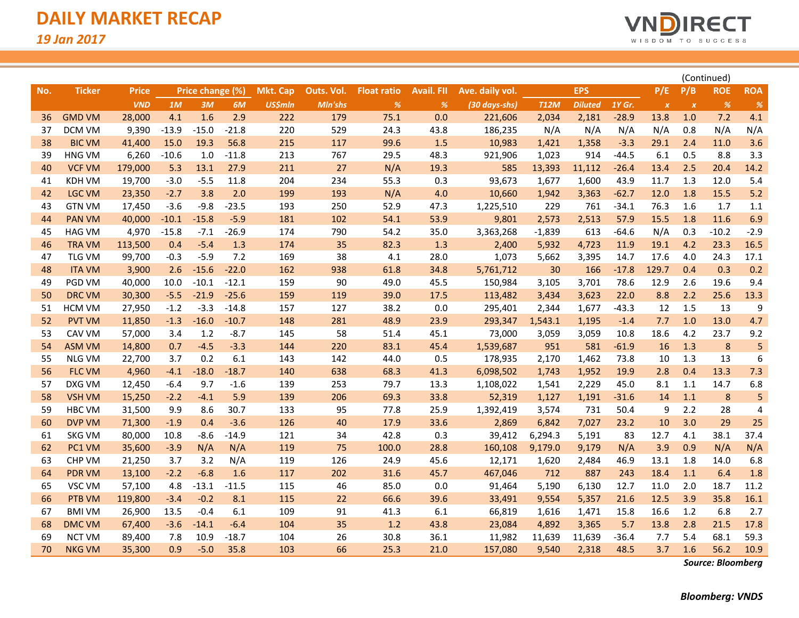

| No. | <b>Ticker</b> | <b>Price</b> |         | Price change (%) |         | <b>Mkt. Cap</b> | Outs. Vol. | <b>Float ratio</b> | <b>Avail. FII</b> | Ave. daily vol. |             | <b>EPS</b>     |         | P/E              | P/B              | <b>ROE</b>                   | <b>ROA</b> |
|-----|---------------|--------------|---------|------------------|---------|-----------------|------------|--------------------|-------------------|-----------------|-------------|----------------|---------|------------------|------------------|------------------------------|------------|
|     |               | <b>VND</b>   | 1M      | 3M               | 6M      | <b>US\$mln</b>  | Mln'shs    | %                  | %                 | (30 days-shs)   | <b>T12M</b> | <b>Diluted</b> | 1Y Gr.  | $\boldsymbol{x}$ | $\boldsymbol{X}$ | $% \mathcal{A}_{\mathrm{c}}$ | $\%$       |
| 36  | <b>GMD VM</b> | 28,000       | 4.1     | 1.6              | 2.9     | 222             | 179        | 75.1               | 0.0               | 221,606         | 2,034       | 2,181          | $-28.9$ | 13.8             | 1.0              | 7.2                          | 4.1        |
| 37  | <b>DCM VM</b> | 9,390        | $-13.9$ | $-15.0$          | $-21.8$ | 220             | 529        | 24.3               | 43.8              | 186,235         | N/A         | N/A            | N/A     | N/A              | 0.8              | N/A                          | N/A        |
| 38  | <b>BIC VM</b> | 41,400       | 15.0    | 19.3             | 56.8    | 215             | 117        | 99.6               | 1.5               | 10,983          | 1,421       | 1,358          | $-3.3$  | 29.1             | 2.4              | 11.0                         | 3.6        |
| 39  | <b>HNG VM</b> | 6,260        | $-10.6$ | 1.0              | $-11.8$ | 213             | 767        | 29.5               | 48.3              | 921,906         | 1,023       | 914            | $-44.5$ | 6.1              | 0.5              | 8.8                          | 3.3        |
| 40  | <b>VCF VM</b> | 179,000      | 5.3     | 13.1             | 27.9    | 211             | 27         | N/A                | 19.3              | 585             | 13,393      | 11,112         | $-26.4$ | 13.4             | 2.5              | 20.4                         | 14.2       |
| 41  | KDH VM        | 19,700       | $-3.0$  | $-5.5$           | 11.8    | 204             | 234        | 55.3               | 0.3               | 93,673          | 1,677       | 1,600          | 43.9    | 11.7             | 1.3              | 12.0                         | 5.4        |
| 42  | <b>LGC VM</b> | 23,350       | $-2.7$  | 3.8              | 2.0     | 199             | 193        | N/A                | 4.0               | 10,660          | 1,942       | 3,363          | $-62.7$ | 12.0             | 1.8              | 15.5                         | 5.2        |
| 43  | <b>GTN VM</b> | 17,450       | $-3.6$  | $-9.8$           | $-23.5$ | 193             | 250        | 52.9               | 47.3              | 1,225,510       | 229         | 761            | $-34.1$ | 76.3             | 1.6              | 1.7                          | 1.1        |
| 44  | <b>PAN VM</b> | 40,000       | $-10.1$ | $-15.8$          | $-5.9$  | 181             | 102        | 54.1               | 53.9              | 9,801           | 2,573       | 2,513          | 57.9    | 15.5             | 1.8              | 11.6                         | 6.9        |
| 45  | HAG VM        | 4,970        | $-15.8$ | $-7.1$           | $-26.9$ | 174             | 790        | 54.2               | 35.0              | 3,363,268       | $-1,839$    | 613            | $-64.6$ | N/A              | 0.3              | $-10.2$                      | $-2.9$     |
| 46  | <b>TRA VM</b> | 113,500      | 0.4     | $-5.4$           | 1.3     | 174             | 35         | 82.3               | 1.3               | 2,400           | 5,932       | 4,723          | 11.9    | 19.1             | 4.2              | 23.3                         | 16.5       |
| 47  | <b>TLG VM</b> | 99,700       | $-0.3$  | $-5.9$           | 7.2     | 169             | 38         | 4.1                | 28.0              | 1,073           | 5,662       | 3,395          | 14.7    | 17.6             | 4.0              | 24.3                         | 17.1       |
| 48  | <b>ITA VM</b> | 3,900        | 2.6     | $-15.6$          | $-22.0$ | 162             | 938        | 61.8               | 34.8              | 5,761,712       | 30          | 166            | $-17.8$ | 129.7            | 0.4              | 0.3                          | 0.2        |
| 49  | PGD VM        | 40,000       | 10.0    | $-10.1$          | $-12.1$ | 159             | 90         | 49.0               | 45.5              | 150,984         | 3,105       | 3,701          | 78.6    | 12.9             | 2.6              | 19.6                         | 9.4        |
| 50  | <b>DRC VM</b> | 30,300       | $-5.5$  | $-21.9$          | $-25.6$ | 159             | 119        | 39.0               | 17.5              | 113,482         | 3,434       | 3,623          | 22.0    | 8.8              | 2.2              | 25.6                         | 13.3       |
| 51  | <b>HCM VM</b> | 27,950       | $-1.2$  | $-3.3$           | $-14.8$ | 157             | 127        | 38.2               | 0.0               | 295,401         | 2,344       | 1,677          | $-43.3$ | 12               | 1.5              | 13                           | 9          |
| 52  | <b>PVT VM</b> | 11,850       | $-1.3$  | $-16.0$          | $-10.7$ | 148             | 281        | 48.9               | 23.9              | 293,347         | 1,543.1     | 1,195          | $-1.4$  | 7.7              | 1.0              | 13.0                         | 4.7        |
| 53  | CAV VM        | 57,000       | 3.4     | 1.2              | $-8.7$  | 145             | 58         | 51.4               | 45.1              | 73,000          | 3,059       | 3,059          | 10.8    | 18.6             | 4.2              | 23.7                         | 9.2        |
| 54  | <b>ASM VM</b> | 14,800       | 0.7     | $-4.5$           | $-3.3$  | 144             | 220        | 83.1               | 45.4              | 1,539,687       | 951         | 581            | $-61.9$ | 16               | 1.3              | 8                            | 5          |
| 55  | <b>NLG VM</b> | 22,700       | 3.7     | 0.2              | 6.1     | 143             | 142        | 44.0               | 0.5               | 178,935         | 2,170       | 1,462          | 73.8    | 10               | 1.3              | 13                           | 6          |
| 56  | <b>FLC VM</b> | 4,960        | $-4.1$  | $-18.0$          | $-18.7$ | 140             | 638        | 68.3               | 41.3              | 6,098,502       | 1,743       | 1,952          | 19.9    | 2.8              | 0.4              | 13.3                         | 7.3        |
| 57  | DXG VM        | 12,450       | $-6.4$  | 9.7              | $-1.6$  | 139             | 253        | 79.7               | 13.3              | 1,108,022       | 1,541       | 2,229          | 45.0    | 8.1              | 1.1              | 14.7                         | 6.8        |
| 58  | <b>VSH VM</b> | 15,250       | $-2.2$  | $-4.1$           | 5.9     | 139             | 206        | 69.3               | 33.8              | 52,319          | 1,127       | 1,191          | $-31.6$ | 14               | 1.1              | $\bf 8$                      | 5          |
| 59  | <b>HBC VM</b> | 31,500       | 9.9     | 8.6              | 30.7    | 133             | 95         | 77.8               | 25.9              | 1,392,419       | 3,574       | 731            | 50.4    | 9                | 2.2              | 28                           | 4          |
| 60  | <b>DVP VM</b> | 71,300       | $-1.9$  | 0.4              | $-3.6$  | 126             | 40         | 17.9               | 33.6              | 2,869           | 6,842       | 7,027          | 23.2    | 10               | 3.0              | 29                           | 25         |
| 61  | <b>SKG VM</b> | 80,000       | 10.8    | $-8.6$           | $-14.9$ | 121             | 34         | 42.8               | 0.3               | 39,412          | 6,294.3     | 5,191          | 83      | 12.7             | 4.1              | 38.1                         | 37.4       |
| 62  | PC1 VM        | 35,600       | $-3.9$  | N/A              | N/A     | 119             | 75         | 100.0              | 28.8              | 160,108         | 9,179.0     | 9,179          | N/A     | 3.9              | 0.9              | N/A                          | N/A        |
| 63  | <b>CHP VM</b> | 21,250       | 3.7     | 3.2              | N/A     | 119             | 126        | 24.9               | 45.6              | 12,171          | 1,620       | 2,484          | 46.9    | 13.1             | 1.8              | 14.0                         | 6.8        |
| 64  | <b>PDR VM</b> | 13,100       | $-2.2$  | $-6.8$           | 1.6     | 117             | 202        | 31.6               | 45.7              | 467,046         | 712         | 887            | 243     | 18.4             | 1.1              | 6.4                          | 1.8        |
| 65  | VSC VM        | 57,100       | 4.8     | $-13.1$          | $-11.5$ | 115             | 46         | 85.0               | 0.0               | 91,464          | 5,190       | 6,130          | 12.7    | 11.0             | 2.0              | 18.7                         | 11.2       |
| 66  | PTB VM        | 119,800      | $-3.4$  | $-0.2$           | 8.1     | 115             | 22         | 66.6               | 39.6              | 33,491          | 9,554       | 5,357          | 21.6    | 12.5             | 3.9              | 35.8                         | 16.1       |
| 67  | <b>BMI VM</b> | 26,900       | 13.5    | $-0.4$           | 6.1     | 109             | 91         | 41.3               | 6.1               | 66,819          | 1,616       | 1,471          | 15.8    | 16.6             | 1.2              | 6.8                          | 2.7        |
| 68  | <b>DMC VM</b> | 67,400       | $-3.6$  | $-14.1$          | $-6.4$  | 104             | 35         | 1.2                | 43.8              | 23,084          | 4,892       | 3,365          | 5.7     | 13.8             | 2.8              | 21.5                         | 17.8       |
| 69  | <b>NCT VM</b> | 89,400       | 7.8     | 10.9             | $-18.7$ | 104             | 26         | 30.8               | 36.1              | 11,982          | 11,639      | 11,639         | -36.4   | 7.7              | 5.4              | 68.1                         | 59.3       |
| 70  | <b>NKG VM</b> | 35,300       | 0.9     | $-5.0$           | 35.8    | 103             | 66         | 25.3               | 21.0              | 157,080         | 9,540       | 2,318          | 48.5    | 3.7              | 1.6              | 56.2                         | 10.9       |

*Source: Bloomberg*